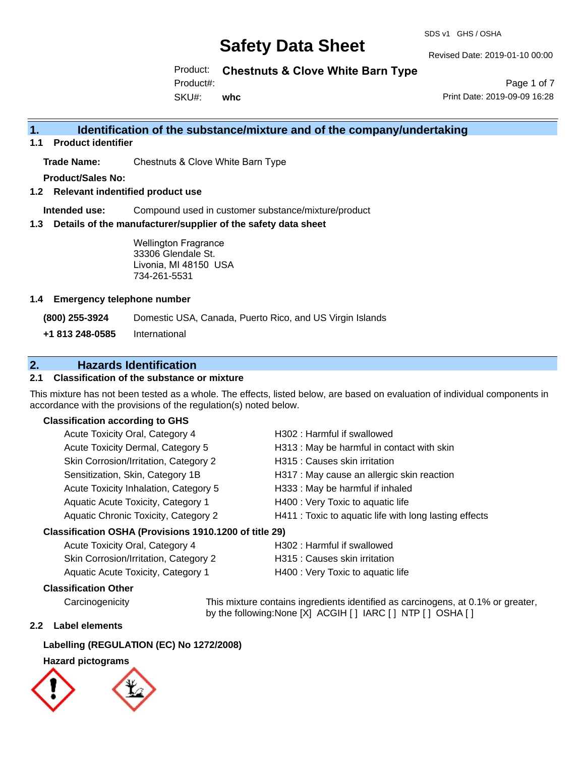#### SDS v1 GHS / OSHA

# **Safety Data Sheet**

Revised Date: 2019-01-10 00:00

Product: **Chestnuts & Clove White Barn Type** 

Product#:

SKU#: **whc**

Page 1 of 7 Print Date: 2019-09-09 16:28

## **1. Identification of the substance/mixture and of the company/undertaking**

**1.1 Product identifier**

**Trade Name:** Chestnuts & Clove White Barn Type

**Product/Sales No:**

**1.2 Relevant indentified product use**

**Intended use:** Compound used in customer substance/mixture/product

**1.3 Details of the manufacturer/supplier of the safety data sheet**

Wellington Fragrance 33306 Glendale St. Livonia, MI 48150 USA 734-261-5531

### **1.4 Emergency telephone number**

**(800) 255-3924** Domestic USA, Canada, Puerto Rico, and US Virgin Islands

**+1 813 248-0585** International

## **2. Hazards Identification**

### **2.1 Classification of the substance or mixture**

This mixture has not been tested as a whole. The effects, listed below, are based on evaluation of individual components in accordance with the provisions of the regulation(s) noted below.

### **Classification according to GHS**

| Acute Toxicity Oral, Category 4                      | H302: Harmful if swallowed                             |
|------------------------------------------------------|--------------------------------------------------------|
| Acute Toxicity Dermal, Category 5                    | H313 : May be harmful in contact with skin             |
| Skin Corrosion/Irritation, Category 2                | H315 : Causes skin irritation                          |
| Sensitization, Skin, Category 1B                     | H317 : May cause an allergic skin reaction             |
| Acute Toxicity Inhalation, Category 5                | H333: May be harmful if inhaled                        |
| Aquatic Acute Toxicity, Category 1                   | H400 : Very Toxic to aquatic life                      |
| Aquatic Chronic Toxicity, Category 2                 | H411 : Toxic to aquatic life with long lasting effects |
| issification OSHA (Provisions 1910 1200 of title 29) |                                                        |

### **Classification OSHA (Provisions 1910.1200 of title 29)**

| Acute Toxicity Oral, Category 4       | H302 : Harmful if swallowed       |
|---------------------------------------|-----------------------------------|
| Skin Corrosion/Irritation, Category 2 | H315 : Causes skin irritation     |
| Aquatic Acute Toxicity, Category 1    | H400 : Very Toxic to aquatic life |

### **Classification Other**

Carcinogenicity This mixture contains ingredients identified as carcinogens, at 0.1% or greater, by the following:None [X] ACGIH [ ] IARC [ ] NTP [ ] OSHA [ ]

### **2.2 Label elements**

### **Labelling (REGULATION (EC) No 1272/2008)**

### **Hazard pictograms**

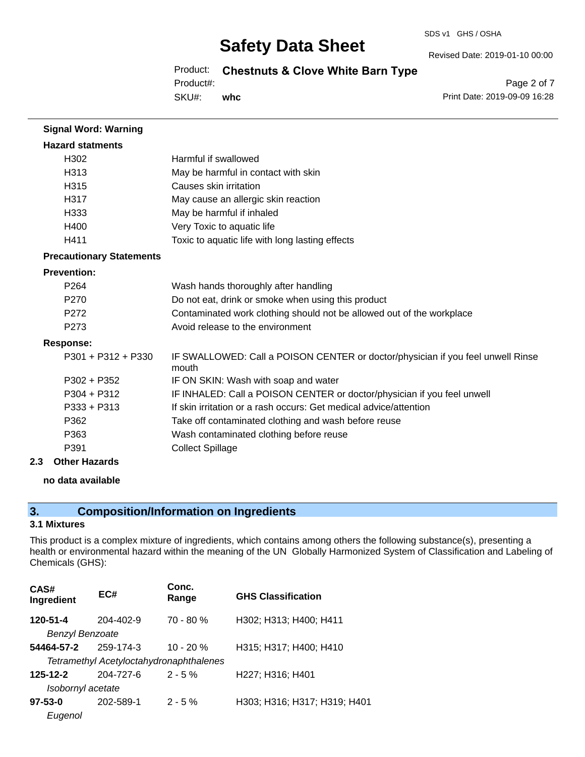#### SDS v1 GHS / OSHA

# **Safety Data Sheet**

Revised Date: 2019-01-10 00:00

Product: **Chestnuts & Clove White Barn Type** 

Product#:

SKU#: **whc**

Page 2 of 7 Print Date: 2019-09-09 16:28

| <b>Signal Word: Warning</b>     |                                                                                          |
|---------------------------------|------------------------------------------------------------------------------------------|
| <b>Hazard statments</b>         |                                                                                          |
| H <sub>302</sub>                | Harmful if swallowed                                                                     |
| H313                            | May be harmful in contact with skin                                                      |
| H <sub>315</sub>                | Causes skin irritation                                                                   |
| H317                            | May cause an allergic skin reaction                                                      |
| H333                            | May be harmful if inhaled                                                                |
| H400                            | Very Toxic to aquatic life                                                               |
| H411                            | Toxic to aquatic life with long lasting effects                                          |
| <b>Precautionary Statements</b> |                                                                                          |
| <b>Prevention:</b>              |                                                                                          |
| P <sub>264</sub>                | Wash hands thoroughly after handling                                                     |
| P <sub>270</sub>                | Do not eat, drink or smoke when using this product                                       |
| P <sub>272</sub>                | Contaminated work clothing should not be allowed out of the workplace                    |
| P <sub>273</sub>                | Avoid release to the environment                                                         |
| <b>Response:</b>                |                                                                                          |
| $P301 + P312 + P330$            | IF SWALLOWED: Call a POISON CENTER or doctor/physician if you feel unwell Rinse<br>mouth |
| $P302 + P352$                   | IF ON SKIN: Wash with soap and water                                                     |
| $P304 + P312$                   | IF INHALED: Call a POISON CENTER or doctor/physician if you feel unwell                  |
| $P333 + P313$                   | If skin irritation or a rash occurs: Get medical advice/attention                        |
| P362                            | Take off contaminated clothing and wash before reuse                                     |
| P363                            | Wash contaminated clothing before reuse                                                  |
| P391                            | <b>Collect Spillage</b>                                                                  |

### **2.3 Other Hazards**

**no data available**

# **3. Composition/Information on Ingredients**

### **3.1 Mixtures**

This product is a complex mixture of ingredients, which contains among others the following substance(s), presenting a health or environmental hazard within the meaning of the UN Globally Harmonized System of Classification and Labeling of Chemicals (GHS):

| CAS#<br>Ingredient | EC#                                     | Conc.<br>Range | <b>GHS Classification</b>    |
|--------------------|-----------------------------------------|----------------|------------------------------|
| 120-51-4           | 204-402-9                               | $70 - 80 %$    | H302; H313; H400; H411       |
| Benzyl Benzoate    |                                         |                |                              |
| 54464-57-2         | 259-174-3                               | $10 - 20 %$    | H315; H317; H400; H410       |
|                    | Tetramethyl Acetyloctahydronaphthalenes |                |                              |
| 125-12-2           | 204-727-6                               | $2 - 5%$       | H227; H316; H401             |
| Isobornyl acetate  |                                         |                |                              |
| $97 - 53 - 0$      | 202-589-1                               | $2 - 5%$       | H303; H316; H317; H319; H401 |
| Eugenol            |                                         |                |                              |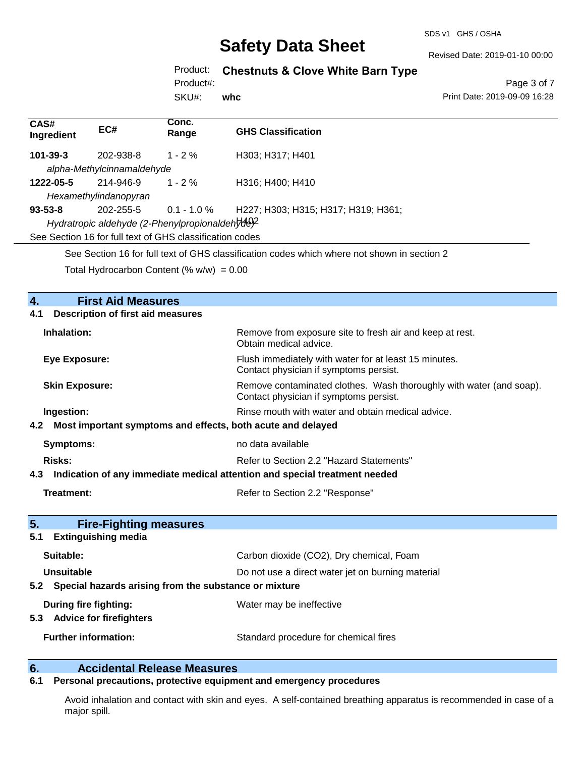SDS v1 GHS / OSHA

Revised Date: 2019-01-10 00:00

# Product: **Chestnuts & Clove White Barn Type**

Product#:

SKU#: **whc**

Page 3 of 7 Print Date: 2019-09-09 16:28

| CAS#<br>Ingredient                              | EC#                                      | Conc.<br>Range                                           | <b>GHS Classification</b>                                                                                     |
|-------------------------------------------------|------------------------------------------|----------------------------------------------------------|---------------------------------------------------------------------------------------------------------------|
| $101 - 39 - 3$                                  | 202-938-8                                | $1 - 2\%$                                                | H303; H317; H401                                                                                              |
|                                                 | alpha-Methylcinnamaldehyde               |                                                          |                                                                                                               |
| 1222-05-5                                       | 214-946-9                                | $1 - 2 \%$                                               | H316; H400; H410                                                                                              |
|                                                 | Hexamethylindanopyran                    |                                                          |                                                                                                               |
| $93 - 53 - 8$                                   | 202-255-5                                | $0.1 - 1.0 \%$                                           | H227; H303; H315; H317; H319; H361;                                                                           |
| Hydratropic aldehyde (2-Phenylpropionaldehyde)? |                                          |                                                          |                                                                                                               |
|                                                 |                                          | See Section 16 for full text of GHS classification codes |                                                                                                               |
|                                                 |                                          |                                                          | See Section 16 for full text of GHS classification codes which where not shown in section 2                   |
|                                                 |                                          |                                                          |                                                                                                               |
| Total Hydrocarbon Content (% $w/w$ ) = 0.00     |                                          |                                                          |                                                                                                               |
|                                                 |                                          |                                                          |                                                                                                               |
| 4.                                              | <b>First Aid Measures</b>                |                                                          |                                                                                                               |
| 4.1                                             | <b>Description of first aid measures</b> |                                                          |                                                                                                               |
| Inhalation:                                     |                                          |                                                          | Remove from exposure site to fresh air and keep at rest.<br>Obtain medical advice.                            |
| <b>Eye Exposure:</b>                            |                                          |                                                          | Flush immediately with water for at least 15 minutes.<br>Contact physician if symptoms persist.               |
| <b>Skin Exposure:</b>                           |                                          |                                                          | Remove contaminated clothes. Wash thoroughly with water (and soap).<br>Contact physician if symptoms persist. |
| Ingestion:                                      |                                          |                                                          | Rinse mouth with water and obtain medical advice.                                                             |

### **4.2 Most important symptoms and effects, both acute and delayed**

| Symptoms: | no data available                        |
|-----------|------------------------------------------|
| Risks:    | Refer to Section 2.2 "Hazard Statements" |

### **4.3 Indication of any immediate medical attention and special treatment needed**

**Treatment:** Refer to Section 2.2 "Response"

| 5.<br><b>Fire-Fighting measures</b><br><b>Extinguishing media</b><br>5.1   |                                                   |
|----------------------------------------------------------------------------|---------------------------------------------------|
| Suitable:                                                                  | Carbon dioxide (CO2), Dry chemical, Foam          |
| Unsuitable<br>Special hazards arising from the substance or mixture<br>5.2 | Do not use a direct water jet on burning material |
| During fire fighting:<br><b>Advice for firefighters</b><br>5.3             | Water may be ineffective                          |
| <b>Further information:</b>                                                | Standard procedure for chemical fires             |

# **6. Calcidental Release Measures**<br>**6.1** Personal precautions, protective equipm

## **6.1 Personal precautions, protective equipment and emergency procedures**

Avoid inhalation and contact with skin and eyes. A self-contained breathing apparatus is recommended in case of a major spill.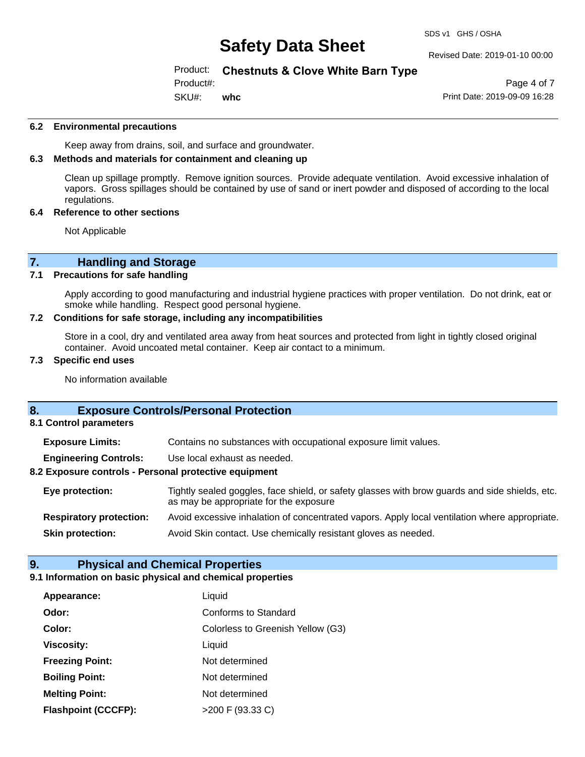### Revised Date: 2019-01-10 00:00

## Product: **Chestnuts & Clove White Barn Type**

Product#:

SKU#: **whc**

Page 4 of 7 Print Date: 2019-09-09 16:28

### **6.2 Environmental precautions**

Keep away from drains, soil, and surface and groundwater.

### **6.3 Methods and materials for containment and cleaning up**

Clean up spillage promptly. Remove ignition sources. Provide adequate ventilation. Avoid excessive inhalation of vapors. Gross spillages should be contained by use of sand or inert powder and disposed of according to the local regulations.

### **6.4 Reference to other sections**

Not Applicable

# **7. Handling and Storage**<br>**7.1** Precautions for safe handling

### **Precautions for safe handling**

Apply according to good manufacturing and industrial hygiene practices with proper ventilation. Do not drink, eat or smoke while handling. Respect good personal hygiene.

### **7.2 Conditions for safe storage, including any incompatibilities**

Store in a cool, dry and ventilated area away from heat sources and protected from light in tightly closed original container. Avoid uncoated metal container. Keep air contact to a minimum.

### **7.3 Specific end uses**

No information available

### **8. Exposure Controls/Personal Protection**

**8.1 Control parameters**

**Exposure Limits:** Contains no substances with occupational exposure limit values.

**Engineering Controls:** Use local exhaust as needed.

### **8.2 Exposure controls - Personal protective equipment**

**Eye protection:** Tightly sealed goggles, face shield, or safety glasses with brow guards and side shields, etc. as may be appropriate for the exposure **Respiratory protection:** Avoid excessive inhalation of concentrated vapors. Apply local ventilation where appropriate.

**Skin protection:** Avoid Skin contact. Use chemically resistant gloves as needed.

### **9. Physical and Chemical Properties**

### **9.1 Information on basic physical and chemical properties**

| Appearance:                | Liquid                            |
|----------------------------|-----------------------------------|
| Odor:                      | <b>Conforms to Standard</b>       |
| Color:                     | Colorless to Greenish Yellow (G3) |
| <b>Viscosity:</b>          | Liquid                            |
| <b>Freezing Point:</b>     | Not determined                    |
| <b>Boiling Point:</b>      | Not determined                    |
| <b>Melting Point:</b>      | Not determined                    |
| <b>Flashpoint (CCCFP):</b> | $>200$ F (93.33 C)                |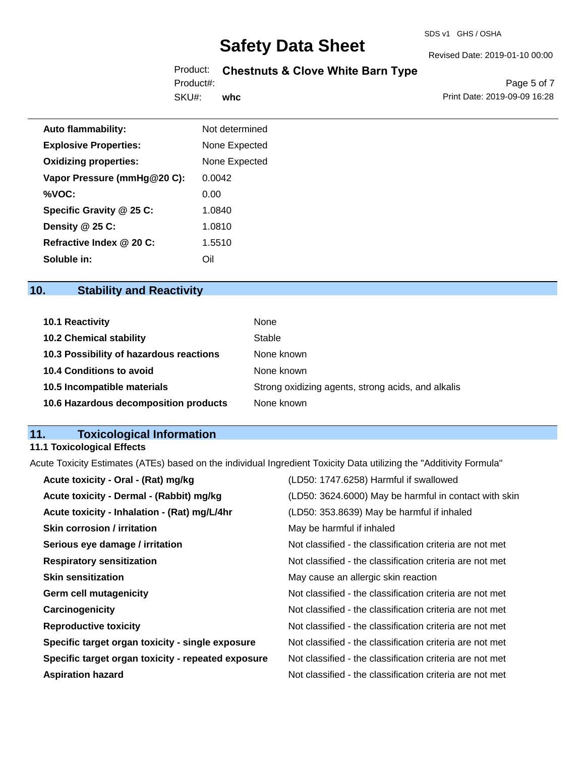#### SDS v1 GHS / OSHA

# **Safety Data Sheet**

## Product: **Chestnuts & Clove White Barn Type**

SKU#: Product#: **whc**

Page 5 of 7 Print Date: 2019-09-09 16:28

Revised Date: 2019-01-10 00:00

| <b>Auto flammability:</b>    | Not determined |
|------------------------------|----------------|
| <b>Explosive Properties:</b> | None Expected  |
| <b>Oxidizing properties:</b> | None Expected  |
| Vapor Pressure (mmHg@20 C):  | 0.0042         |
| %VOC:                        | 0.00           |
| Specific Gravity @ 25 C:     | 1.0840         |
| Density @ 25 C:              | 1.0810         |
| Refractive Index @ 20 C:     | 1.5510         |
| Soluble in:                  | Oil            |

# **10. Stability and Reactivity**

| <b>10.1 Reactivity</b>                  | None                                               |
|-----------------------------------------|----------------------------------------------------|
| <b>10.2 Chemical stability</b>          | Stable                                             |
| 10.3 Possibility of hazardous reactions | None known                                         |
| <b>10.4 Conditions to avoid</b>         | None known                                         |
| 10.5 Incompatible materials             | Strong oxidizing agents, strong acids, and alkalis |
| 10.6 Hazardous decomposition products   | None known                                         |

# **11. Toxicological Information**

## **11.1 Toxicological Effects**

Acute Toxicity Estimates (ATEs) based on the individual Ingredient Toxicity Data utilizing the "Additivity Formula"

| (LD50: 1747.6258) Harmful if swallowed                   |
|----------------------------------------------------------|
| (LD50: 3624.6000) May be harmful in contact with skin    |
| (LD50: 353.8639) May be harmful if inhaled               |
| May be harmful if inhaled                                |
| Not classified - the classification criteria are not met |
| Not classified - the classification criteria are not met |
| May cause an allergic skin reaction                      |
| Not classified - the classification criteria are not met |
| Not classified - the classification criteria are not met |
| Not classified - the classification criteria are not met |
| Not classified - the classification criteria are not met |
| Not classified - the classification criteria are not met |
| Not classified - the classification criteria are not met |
|                                                          |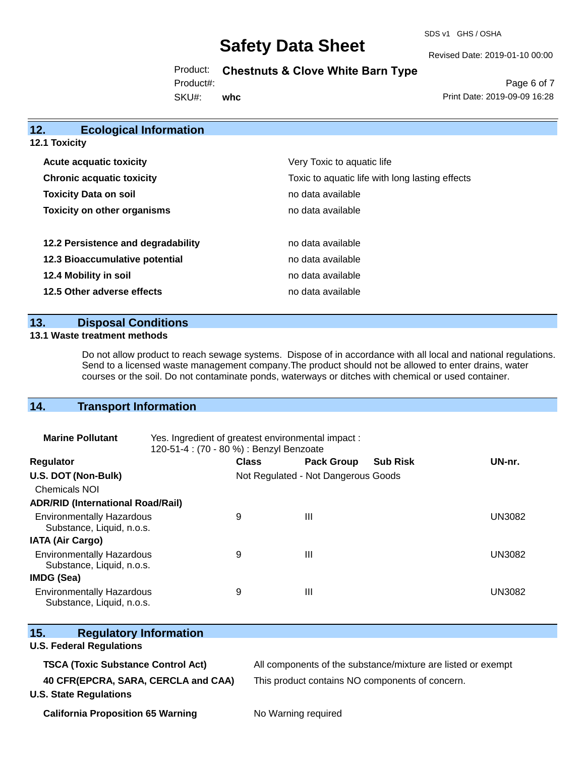SDS v1 GHS / OSHA

Revised Date: 2019-01-10 00:00

Product: **Chestnuts & Clove White Barn Type** 

Product#:

SKU#: **whc**

Page 6 of 7 Print Date: 2019-09-09 16:28

| 12.<br><b>Ecological Information</b>                                                |                            |
|-------------------------------------------------------------------------------------|----------------------------|
| <b>12.1 Toxicity</b>                                                                |                            |
| <b>Acute acquatic toxicity</b>                                                      | Very Toxic to aquatic life |
| Toxic to aquatic life with long lasting effects<br><b>Chronic acquatic toxicity</b> |                            |
| <b>Toxicity Data on soil</b>                                                        | no data available          |
| <b>Toxicity on other organisms</b>                                                  | no data available          |
| 12.2 Persistence and degradability                                                  | no data available          |
| 12.3 Bioaccumulative potential                                                      | no data available          |
| 12.4 Mobility in soil                                                               | no data available          |
| 12.5 Other adverse effects                                                          | no data available          |
|                                                                                     |                            |

## **13. Disposal Conditions**

### **13.1 Waste treatment methods**

Do not allow product to reach sewage systems. Dispose of in accordance with all local and national regulations. Send to a licensed waste management company.The product should not be allowed to enter drains, water courses or the soil. Do not contaminate ponds, waterways or ditches with chemical or used container.

## **14. Transport Information**

| <b>Marine Pollutant</b>                                       | Yes. Ingredient of greatest environmental impact:<br>120-51-4 : (70 - 80 %) : Benzyl Benzoate |                                     |                   |                 |               |
|---------------------------------------------------------------|-----------------------------------------------------------------------------------------------|-------------------------------------|-------------------|-----------------|---------------|
| <b>Regulator</b>                                              |                                                                                               | <b>Class</b>                        | <b>Pack Group</b> | <b>Sub Risk</b> | UN-nr.        |
| U.S. DOT (Non-Bulk)                                           |                                                                                               | Not Regulated - Not Dangerous Goods |                   |                 |               |
| <b>Chemicals NOI</b>                                          |                                                                                               |                                     |                   |                 |               |
| <b>ADR/RID (International Road/Rail)</b>                      |                                                                                               |                                     |                   |                 |               |
| <b>Environmentally Hazardous</b><br>Substance, Liquid, n.o.s. |                                                                                               | 9                                   | Ш                 |                 | <b>UN3082</b> |
| <b>IATA (Air Cargo)</b>                                       |                                                                                               |                                     |                   |                 |               |
| <b>Environmentally Hazardous</b><br>Substance, Liquid, n.o.s. |                                                                                               | 9                                   | Ш                 |                 | <b>UN3082</b> |
| <b>IMDG (Sea)</b>                                             |                                                                                               |                                     |                   |                 |               |
| <b>Environmentally Hazardous</b><br>Substance, Liquid, n.o.s. |                                                                                               | 9                                   | Ш                 |                 | <b>UN3082</b> |

| <b>Regulatory Information</b><br>15.      |                                                              |  |  |
|-------------------------------------------|--------------------------------------------------------------|--|--|
| <b>U.S. Federal Regulations</b>           |                                                              |  |  |
| <b>TSCA (Toxic Substance Control Act)</b> | All components of the substance/mixture are listed or exempt |  |  |
| 40 CFR(EPCRA, SARA, CERCLA and CAA)       | This product contains NO components of concern.              |  |  |
| <b>U.S. State Regulations</b>             |                                                              |  |  |
|                                           | $\mathbf{A}$ . $\mathbf{A}$ . $\mathbf{A}$                   |  |  |

**California Proposition 65 Warning No Warning required**